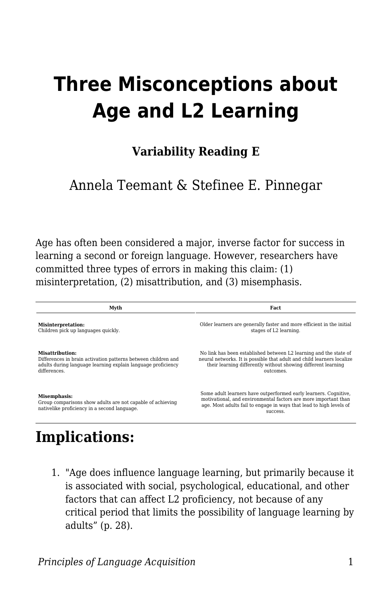# **Three Misconceptions about Age and L2 Learning**

### **Variability Reading E**

### Annela Teemant & Stefinee E. Pinnegar

Age has often been considered a major, inverse factor for success in learning a second or foreign language. However, researchers have committed three types of errors in making this claim: (1) misinterpretation, (2) misattribution, and (3) misemphasis.

| Myth                                                                                                                       | Fact                                                                                                                                                                                                                   |
|----------------------------------------------------------------------------------------------------------------------------|------------------------------------------------------------------------------------------------------------------------------------------------------------------------------------------------------------------------|
| Misinterpretation:                                                                                                         | Older learners are generally faster and more efficient in the initial                                                                                                                                                  |
| Children pick up languages quickly.                                                                                        | stages of L2 learning.                                                                                                                                                                                                 |
| Misattribution:                                                                                                            | No link has been established between L2 learning and the state of                                                                                                                                                      |
| Differences in brain activation patterns between children and                                                              | neural networks. It is possible that adult and child learners localize                                                                                                                                                 |
| adults during language learning explain language proficiency                                                               | their learning differently without showing different learning                                                                                                                                                          |
| differences.                                                                                                               | outcomes.                                                                                                                                                                                                              |
| Misemphasis:<br>Group comparisons show adults are not capable of achieving<br>nativelike proficiency in a second language. | Some adult learners have outperformed early learners. Cognitive,<br>motivational, and environmental factors are more important than<br>age. Most adults fail to engage in ways that lead to high levels of<br>SUCCeSS. |

## **Implications:**

1. "Age does influence language learning, but primarily because it is associated with social, psychological, educational, and other factors that can affect L2 proficiency, not because of any critical period that limits the possibility of language learning by adults" (p. 28).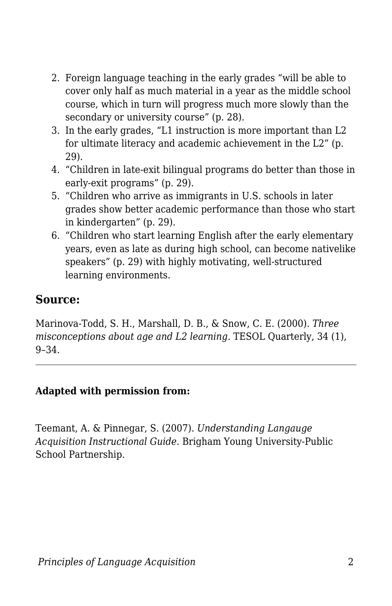- 2. Foreign language teaching in the early grades "will be able to cover only half as much material in a year as the middle school course, which in turn will progress much more slowly than the secondary or university course" (p. 28).
- 3. In the early grades, "L1 instruction is more important than L2 for ultimate literacy and academic achievement in the L2" (p. 29).
- 4. "Children in late-exit bilingual programs do better than those in early-exit programs" (p. 29).
- 5. "Children who arrive as immigrants in U.S. schools in later grades show better academic performance than those who start in kindergarten" (p. 29).
- 6. "Children who start learning English after the early elementary years, even as late as during high school, can become nativelike speakers" (p. 29) with highly motivating, well-structured learning environments.

### **Source:**

Marinova-Todd, S. H., Marshall, D. B., & Snow, C. E. (2000). *Three misconceptions about age and L2 learning.* TESOL Quarterly, 34 (1), 9–34.

#### **Adapted with permission from:**

Teemant, A. & Pinnegar, S. (2007). *Understanding Langauge Acquisition Instructional Guide.* Brigham Young University-Public School Partnership.